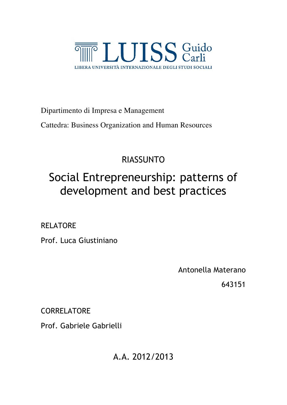

Dipartimento di Impresa e Management

Cattedra: Business Organization and Human Resources

## RIASSUNTO

# Social Entrepreneurship: patterns of development and best practices

### RELATORE

Prof. Luca Giustiniano

Antonella Materano

643151

**CORRELATORE** 

Prof. Gabriele Gabrielli

A.A. 2012/2013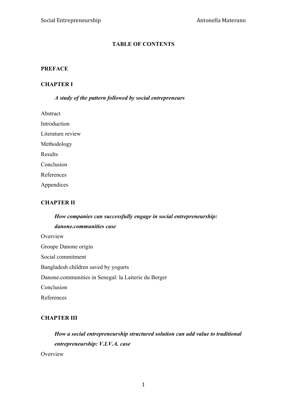#### **TABLE OF CONTENTS**

#### **PREFACE**

#### **CHAPTER I**

#### *A study of the pattern followed by social entrepreneurs*

| Abstract          |
|-------------------|
| Introduction      |
| Literature review |
| Methodology       |
| Results           |
| Conclusion        |
| References        |
| Appendices        |

#### **CHAPTER II**

### *How companies can successfully engage in social entrepreneurship: danone.communities case* **Overview** Groupe Danone origin Social commitment Bangladesh children saved by yogurts Danone.communities in Senegal: la Laiterie du Berger Conclusion

#### References

#### **CHAPTER III**

#### *How a social entrepreneurship structured solution can add value to traditional entrepreneurship: V.I.V.A. case*

Overview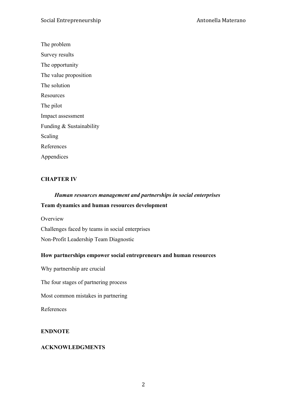The problem

Survey results

The opportunity

The value proposition

The solution

**Resources** 

The pilot

Impact assessment

Funding & Sustainability

Scaling

References

Appendices

#### **CHAPTER IV**

# *Human resources management and partnerships in social enterprises*

#### **Team dynamics and human resources development**

**Overview** 

Challenges faced by teams in social enterprises

Non-Profit Leadership Team Diagnostic

#### **How partnerships empower social entrepreneurs and human resources**

Why partnership are crucial

The four stages of partnering process

Most common mistakes in partnering

References

#### **ENDNOTE**

#### **ACKNOWLEDGMENTS**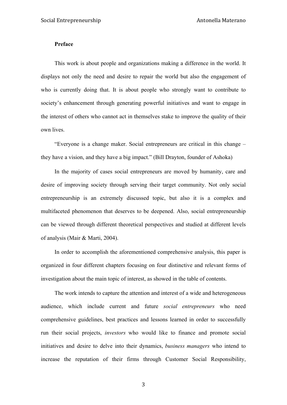#### **Preface**

This work is about people and organizations making a difference in the world. It displays not only the need and desire to repair the world but also the engagement of who is currently doing that. It is about people who strongly want to contribute to society's enhancement through generating powerful initiatives and want to engage in the interest of others who cannot act in themselves stake to improve the quality of their own lives.

"Everyone is a change maker. Social entrepreneurs are critical in this change – they have a vision, and they have a big impact." (Bill Drayton, founder of Ashoka)

In the majority of cases social entrepreneurs are moved by humanity, care and desire of improving society through serving their target community. Not only social entrepreneurship is an extremely discussed topic, but also it is a complex and multifaceted phenomenon that deserves to be deepened. Also, social entrepreneurship can be viewed through different theoretical perspectives and studied at different levels of analysis (Mair & Marti, 2004).

In order to accomplish the aforementioned comprehensive analysis, this paper is organized in four different chapters focusing on four distinctive and relevant forms of investigation about the main topic of interest, as showed in the table of contents.

The work intends to capture the attention and interest of a wide and heterogeneous audience, which include current and future *social entrepreneurs* who need comprehensive guidelines, best practices and lessons learned in order to successfully run their social projects, *investors* who would like to finance and promote social initiatives and desire to delve into their dynamics, *business managers* who intend to increase the reputation of their firms through Customer Social Responsibility,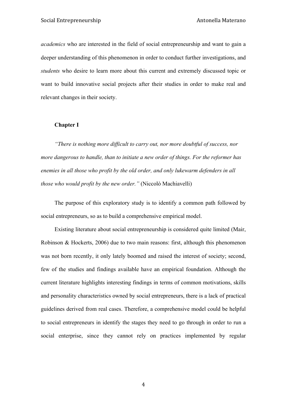*academics* who are interested in the field of social entrepreneurship and want to gain a deeper understanding of this phenomenon in order to conduct further investigations, and *students* who desire to learn more about this current and extremely discussed topic or want to build innovative social projects after their studies in order to make real and relevant changes in their society.

#### **Chapter I**

*"There is nothing more difficult to carry out, nor more doubtful of success, nor more dangerous to handle, than to initiate a new order of things. For the reformer has enemies in all those who profit by the old order, and only lukewarm defenders in all those who would profit by the new order."* (Niccolò Machiavelli)

The purpose of this exploratory study is to identify a common path followed by social entrepreneurs, so as to build a comprehensive empirical model.

Existing literature about social entrepreneurship is considered quite limited (Mair, Robinson & Hockerts, 2006) due to two main reasons: first, although this phenomenon was not born recently, it only lately boomed and raised the interest of society; second, few of the studies and findings available have an empirical foundation. Although the current literature highlights interesting findings in terms of common motivations, skills and personality characteristics owned by social entrepreneurs, there is a lack of practical guidelines derived from real cases. Therefore, a comprehensive model could be helpful to social entrepreneurs in identify the stages they need to go through in order to run a social enterprise, since they cannot rely on practices implemented by regular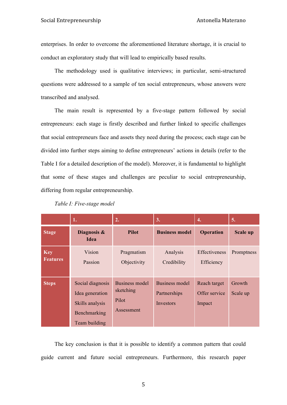enterprises. In order to overcome the aforementioned literature shortage, it is crucial to conduct an exploratory study that will lead to empirically based results.

The methodology used is qualitative interviews; in particular, semi-structured questions were addressed to a sample of ten social entrepreneurs, whose answers were transcribed and analysed.

The main result is represented by a five-stage pattern followed by social entrepreneurs: each stage is firstly described and further linked to specific challenges that social entrepreneurs face and assets they need during the process; each stage can be divided into further steps aiming to define entrepreneurs' actions in details (refer to the Table I for a detailed description of the model). Moreover, it is fundamental to highlight that some of these stages and challenges are peculiar to social entrepreneurship, differing from regular entrepreneurship.

|                               | 1.                                                                                      | 2.                                                 | 3.                                                        | 4.                                      | 5.                 |
|-------------------------------|-----------------------------------------------------------------------------------------|----------------------------------------------------|-----------------------------------------------------------|-----------------------------------------|--------------------|
| <b>Stage</b>                  | Diagnosis &<br><b>Idea</b>                                                              | <b>Pilot</b>                                       | <b>Business model</b>                                     | <b>Operation</b>                        | <b>Scale up</b>    |
| <b>Key</b><br><b>Features</b> | Vision<br>Passion                                                                       | Pragmatism<br>Objectivity                          | Analysis<br>Credibility                                   | <b>Effectiveness</b><br>Efficiency      | Promptness         |
| <b>Steps</b>                  | Social diagnosis<br>Idea generation<br>Skills analysis<br>Benchmarking<br>Team building | Business model<br>sketching<br>Pilot<br>Assessment | <b>Business model</b><br>Partnerships<br><b>Investors</b> | Reach target<br>Offer service<br>Impact | Growth<br>Scale up |

*Table I: Five-stage model*

The key conclusion is that it is possible to identify a common pattern that could guide current and future social entrepreneurs. Furthermore, this research paper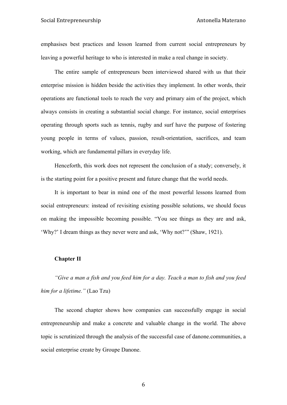emphasises best practices and lesson learned from current social entrepreneurs by leaving a powerful heritage to who is interested in make a real change in society.

The entire sample of entrepreneurs been interviewed shared with us that their enterprise mission is hidden beside the activities they implement. In other words, their operations are functional tools to reach the very and primary aim of the project, which always consists in creating a substantial social change. For instance, social enterprises operating through sports such as tennis, rugby and surf have the purpose of fostering young people in terms of values, passion, result-orientation, sacrifices, and team working, which are fundamental pillars in everyday life.

Henceforth, this work does not represent the conclusion of a study; conversely, it is the starting point for a positive present and future change that the world needs.

It is important to bear in mind one of the most powerful lessons learned from social entrepreneurs: instead of revisiting existing possible solutions, we should focus on making the impossible becoming possible. "You see things as they are and ask, 'Why?' I dream things as they never were and ask, 'Why not?'" (Shaw, 1921).

#### **Chapter II**

*"Give a man a fish and you feed him for a day. Teach a man to fish and you feed him for a lifetime."* (Lao Tzu)

The second chapter shows how companies can successfully engage in social entrepreneurship and make a concrete and valuable change in the world. The above topic is scrutinized through the analysis of the successful case of danone.communities, a social enterprise create by Groupe Danone.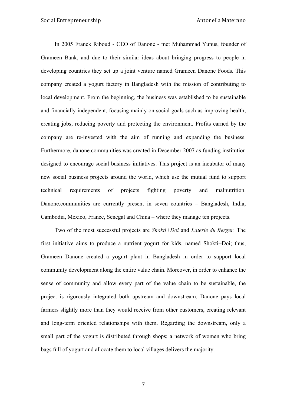In 2005 Franck Riboud - CEO of Danone - met Muhammad Yunus, founder of Grameen Bank, and due to their similar ideas about bringing progress to people in developing countries they set up a joint venture named Grameen Danone Foods. This company created a yogurt factory in Bangladesh with the mission of contributing to local development. From the beginning, the business was established to be sustainable and financially independent, focusing mainly on social goals such as improving health, creating jobs, reducing poverty and protecting the environment. Profits earned by the company are re-invested with the aim of running and expanding the business. Furthermore, danone.communities was created in December 2007 as funding institution designed to encourage social business initiatives. This project is an incubator of many new social business projects around the world, which use the mutual fund to support technical requirements of projects fighting poverty and malnutrition. Danone.communities are currently present in seven countries – Bangladesh, India, Cambodia, Mexico, France, Senegal and China – where they manage ten projects.

Two of the most successful projects are *Shokti+Doi* and *Laterie du Berger*. The first initiative aims to produce a nutrient yogurt for kids, named Shokti+Doi; thus, Grameen Danone created a yogurt plant in Bangladesh in order to support local community development along the entire value chain. Moreover, in order to enhance the sense of community and allow every part of the value chain to be sustainable, the project is rigorously integrated both upstream and downstream. Danone pays local farmers slightly more than they would receive from other customers, creating relevant and long-term oriented relationships with them. Regarding the downstream, only a small part of the yogurt is distributed through shops; a network of women who bring bags full of yogurt and allocate them to local villages delivers the majority.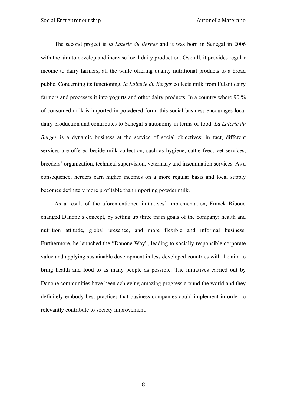The second project is *la Laterie du Berger* and it was born in Senegal in 2006 with the aim to develop and increase local dairy production. Overall, it provides regular income to dairy farmers, all the while offering quality nutritional products to a broad public. Concerning its functioning, *la Laiterie du Berger* collects milk from Fulani dairy farmers and processes it into yogurts and other dairy products. In a country where 90 % of consumed milk is imported in powdered form, this social business encourages local dairy production and contributes to Senegal's autonomy in terms of food. *La Laterie du Berger* is a dynamic business at the service of social objectives; in fact, different services are offered beside milk collection, such as hygiene, cattle feed, vet services, breeders' organization, technical supervision, veterinary and insemination services. As a consequence, herders earn higher incomes on a more regular basis and local supply becomes definitely more profitable than importing powder milk.

As a result of the aforementioned initiatives' implementation, Franck Riboud changed Danone´s concept, by setting up three main goals of the company: health and nutrition attitude, global presence, and more flexible and informal business. Furthermore, he launched the "Danone Way", leading to socially responsible corporate value and applying sustainable development in less developed countries with the aim to bring health and food to as many people as possible. The initiatives carried out by Danone.communities have been achieving amazing progress around the world and they definitely embody best practices that business companies could implement in order to relevantly contribute to society improvement.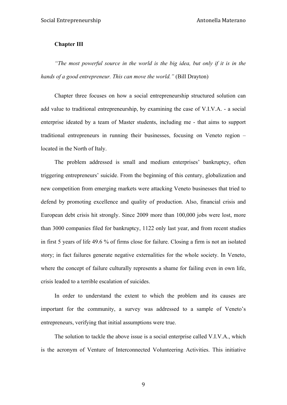#### **Chapter III**

*"The most powerful source in the world is the big idea, but only if it is in the hands of a good entrepreneur. This can move the world."* (Bill Drayton)

Chapter three focuses on how a social entrepreneurship structured solution can add value to traditional entrepreneurship, by examining the case of V.I.V.A. - a social enterprise ideated by a team of Master students, including me - that aims to support traditional entrepreneurs in running their businesses, focusing on Veneto region – located in the North of Italy.

The problem addressed is small and medium enterprises' bankruptcy, often triggering entrepreneurs' suicide. From the beginning of this century, globalization and new competition from emerging markets were attacking Veneto businesses that tried to defend by promoting excellence and quality of production. Also, financial crisis and European debt crisis hit strongly. Since 2009 more than 100,000 jobs were lost, more than 3000 companies filed for bankruptcy, 1122 only last year, and from recent studies in first 5 years of life 49.6 % of firms close for failure. Closing a firm is not an isolated story; in fact failures generate negative externalities for the whole society. In Veneto, where the concept of failure culturally represents a shame for failing even in own life, crisis leaded to a terrible escalation of suicides.

In order to understand the extent to which the problem and its causes are important for the community, a survey was addressed to a sample of Veneto's entrepreneurs, verifying that initial assumptions were true.

The solution to tackle the above issue is a social enterprise called V.I.V.A., which is the acronym of Venture of Interconnected Volunteering Activities. This initiative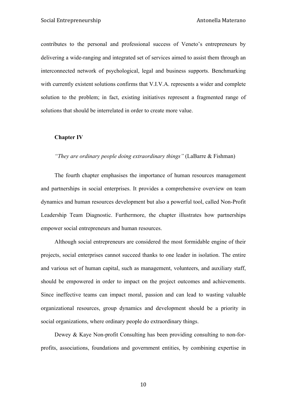contributes to the personal and professional success of Veneto's entrepreneurs by delivering a wide-ranging and integrated set of services aimed to assist them through an interconnected network of psychological, legal and business supports. Benchmarking with currently existent solutions confirms that V.I.V.A. represents a wider and complete solution to the problem; in fact, existing initiatives represent a fragmented range of solutions that should be interrelated in order to create more value.

#### **Chapter IV**

#### *"They are ordinary people doing extraordinary things"* (LaBarre & Fishman)

The fourth chapter emphasises the importance of human resources management and partnerships in social enterprises. It provides a comprehensive overview on team dynamics and human resources development but also a powerful tool, called Non-Profit Leadership Team Diagnostic. Furthermore, the chapter illustrates how partnerships empower social entrepreneurs and human resources.

Although social entrepreneurs are considered the most formidable engine of their projects, social enterprises cannot succeed thanks to one leader in isolation. The entire and various set of human capital, such as management, volunteers, and auxiliary staff, should be empowered in order to impact on the project outcomes and achievements. Since ineffective teams can impact moral, passion and can lead to wasting valuable organizational resources, group dynamics and development should be a priority in social organizations, where ordinary people do extraordinary things.

Dewey & Kaye Non-profit Consulting has been providing consulting to non-forprofits, associations, foundations and government entities, by combining expertise in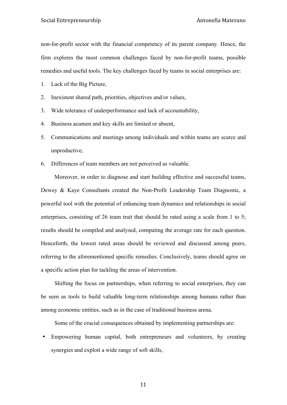non-for-profit sector with the financial competency of its parent company. Hence, the firm explores the most common challenges faced by non-for-profit teams, possible remedies and useful tools. The key challenges faced by teams in social enterprises are:

1. Lack of the Big Picture,

2. Inexistent shared path, priorities, objectives and/or values,

3. Wide tolerance of underperformance and lack of accountability,

4. Business acumen and key skills are limited or absent,

5. Communications and meetings among individuals and within teams are scarce and unproductive,

6. Differences of team members are not perceived as valuable.

Moreover, in order to diagnose and start building effective and successful teams, Dewey & Kaye Consultants created the Non-Profit Leadership Team Diagnostic, a powerful tool with the potential of enhancing team dynamics and relationships in social enterprises, consisting of 26 team trait that should be rated using a scale from 1 to 5; results should be compiled and analysed, computing the average rate for each question. Henceforth, the lowest rated areas should be reviewed and discussed among peers, referring to the aforementioned specific remedies. Conclusively, teams should agree on a specific action plan for tackling the areas of intervention.

Shifting the focus on partnerships, when referring to social enterprises, they can be seen as tools to build valuable long-term relationships among humans rather than among economic entities, such as in the case of traditional business arena.

Some of the crucial consequences obtained by implementing partnerships are:

• Empowering human capital, both entrepreneurs and volunteers, by creating synergies and exploit a wide range of soft skills,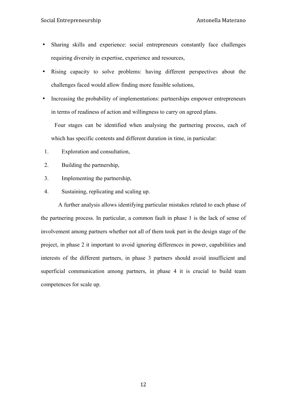- Sharing skills and experience: social entrepreneurs constantly face challenges requiring diversity in expertise, experience and resources,
- Rising capacity to solve problems: having different perspectives about the challenges faced would allow finding more feasible solutions,
- Increasing the probability of implementations: partnerships empower entrepreneurs in terms of readiness of action and willingness to carry on agreed plans.

Four stages can be identified when analysing the partnering process, each of which has specific contents and different duration in time, in particular:

- 1. Exploration and consultation,
- 2. Building the partnership,
- 3. Implementing the partnership,
- 4. Sustaining, replicating and scaling up.

A further analysis allows identifying particular mistakes related to each phase of the partnering process. In particular, a common fault in phase 1 is the lack of sense of involvement among partners whether not all of them took part in the design stage of the project, in phase 2 it important to avoid ignoring differences in power, capabilities and interests of the different partners, in phase 3 partners should avoid insufficient and superficial communication among partners, in phase 4 it is crucial to build team competences for scale up.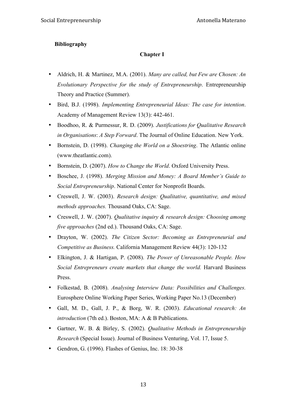#### **Bibliography**

#### **Chapter I**

- Aldrich, H. & Martinez, M.A. (2001). *Many are called, but Few are Chosen: An Evolutionary Perspective for the study of Entrepreneurship*. Entrepreneurship Theory and Practice (Summer).
- Bird, B.J. (1998). *Implementing Entrepreneurial Ideas: The case for intention*. Academy of Management Review 13(3): 442-461.
- Boodhoo, R. & Purmessur, R. D. (2009). *Justifications for Qualitative Research in Organisations*: *A Step Forward*. The Journal of Online Education. New York.
- Bornstein, D. (1998). *Changing the World on a Shoestring*. The Atlantic online (www.theatlantic.com).
- Bornstein, D. (2007). *How to Change the World*. Oxford University Press.
- Boschee, J. (1998). *Merging Mission and Money: A Board Member's Guide to Social Entrepreneurship*. National Center for Nonprofit Boards.
- Creswell, J. W. (2003). *Research design: Qualitative, quantitative, and mixed methods approaches.* Thousand Oaks, CA: Sage.
- Creswell, J. W. (2007). *Qualitative inquiry & research design: Choosing among five approaches* (2nd ed.). Thousand Oaks, CA: Sage.
- Drayton, W. (2002). *The Citizen Sector: Becoming as Entrepreneurial and Competitive as Business.* California Management Review 44(3): 120-132
- Elkington, J. & Hartigan, P. (2008). *The Power of Unreasonable People. How Social Entrepreneurs create markets that change the world.* Harvard Business Press.
- Folkestad, B. (2008). *Analysing Interview Data: Possibilities and Challenges.*  Eurosphere Online Working Paper Series, Working Paper No.13 (December)
- Gall, M. D., Gall, J. P., & Borg, W. R. (2003). *Educational research: An introduction* (7th ed.). Boston, MA: A & B Publications.
- Gartner, W. B. & Birley, S. (2002). *Qualitative Methods in Entrepreneurship Research* (Special Issue). Journal of Business Venturing, Vol. 17, Issue 5.
- Gendron, G. (1996). Flashes of Genius, Inc. 18: 30-38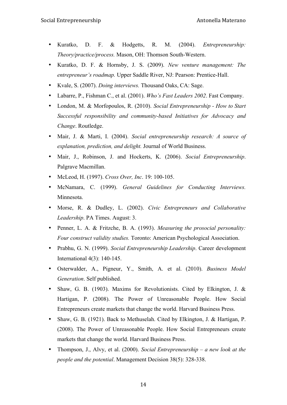- Kuratko, D. F. & Hodgetts, R. M. (2004). *Entrepreneurship: Theory/practice/process.* Mason, OH: Thomson South-Western.
- Kuratko, D. F. & Hornsby, J. S. (2009). *New venture management: The entrepreneur's roadmap.* Upper Saddle River, NJ: Pearson: Prentice-Hall.
- Kvale, S. (2007). *Doing interviews.* Thousand Oaks, CA: Sage.
- Labarre, P., Fishman C., et al. (2001). *Who's Fast Leaders 2002*. Fast Company.
- London, M. & Morfopoulos, R. (2010). *Social Entrepreneurship - How to Start Successful responsibility and community-based Initiatives for Advocacy and Change*. Routledge.
- Mair, J. & Marti, I. (2004). *Social entrepreneurship research: A source of explanation, prediction, and delight.* Journal of World Business.
- Mair, J., Robinson, J. and Hockerts, K. (2006). *Social Entrepreneurship*. Palgrave Macmillan.
- McLeod, H. (1997). *Cross Over, Inc*. 19: 100-105.
- McNamara, C. (1999). *General Guidelines for Conducting Interviews.*  Minnesota.
- Morse, R. & Dudley, L. (2002). *Civic Entrepreneurs and Collaborative Leadership*. PA Times. August: 3.
- Penner, L. A. & Fritzche, B. A. (1993). *Measuring the prosocial personality: Four construct validity studies.* Toronto: American Psychological Association.
- Prabhu, G. N. (1999). *Social Entrepreneurship Leadership*. Career development International 4(3): 140-145.
- Osterwalder, A., Pigneur, Y., Smith, A. et al. (2010). *Business Model Generation*. Self published.
- Shaw, G. B. (1903). Maxims for Revolutionists. Cited by Elkington, J. & Hartigan, P. (2008). The Power of Unreasonable People. How Social Entrepreneurs create markets that change the world. Harvard Business Press.
- Shaw, G. B. (1921). Back to Methuselah. Cited by Elkington, J. & Hartigan, P. (2008). The Power of Unreasonable People. How Social Entrepreneurs create markets that change the world. Harvard Business Press.
- Thompson, J., Alvy, et al. (2000). *Social Entrepreneurship – a new look at the people and the potential*. Management Decision 38(5): 328-338.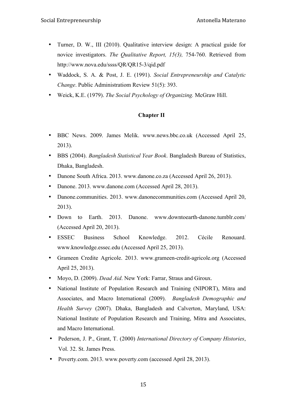- Turner, D. W., III (2010). Qualitative interview design: A practical guide for novice investigators. *The Qualitative Report, 15(3),* 754-760. Retrieved from http://www.nova.edu/ssss/QR/QR15-3/qid.pdf
- Waddock, S. A. & Post, J. E. (1991). *Social Entrepreneurship and Catalytic Change*. Public Administratiom Review 51(5): 393.
- Weick, K.E. (1979). *The Social Psychology of Organizing.* McGraw Hill.

#### **Chapter II**

- BBC News. 2009. James Melik. www.news.bbc.co.uk (Accessed April 25, 2013).
- BBS (2004). *Bangladesh Statistical Year Book*. Bangladesh Bureau of Statistics, Dhaka, Bangladesh.
- Danone South Africa. 2013. www.danone.co.za (Accessed April 26, 2013).
- Danone. 2013. www.danone.com (Accessed April 28, 2013).
- Danone.communities. 2013. www.danonecommunities.com (Accessed April 20, 2013).
- Down to Earth. 2013. Danone. www.downtoearth-danone.tumblr.com/ (Accessed April 20, 2013).
- ESSEC Business School Knowledge. 2012. Cécile Renouard. www.knowledge.essec.edu (Accessed April 25, 2013).
- Grameen Credite Agricole. 2013. www.grameen-credit-agricole.org (Accessed April 25, 2013).
- Moyo, D. (2009). *Dead Aid*. New York: Farrar, Straus and Giroux.
- National Institute of Population Research and Training (NIPORT), Mitra and Associates, and Macro International (2009). *Bangladesh Demographic and Health Survey* (2007). Dhaka, Bangladesh and Calverton, Maryland, USA: National Institute of Population Research and Training, Mitra and Associates, and Macro International.
- Pederson, J. P., Grant, T. (2000) *International Directory of Company Histories*, Vol. 32. St. James Press.
- Poverty.com. 2013. www.poverty.com (accessed April 28, 2013).